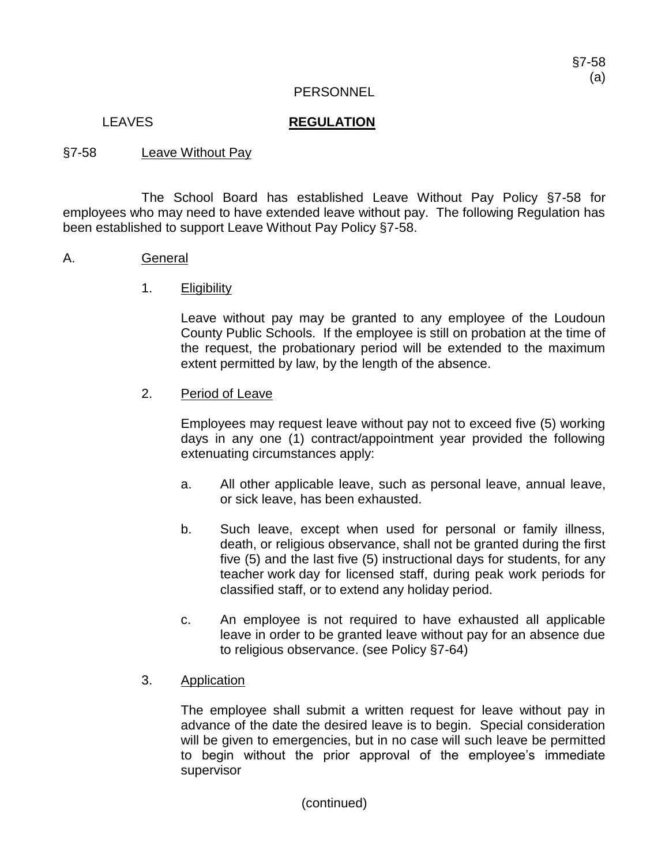### LEAVES **REGULATION**

### §7-58 Leave Without Pay

The School Board has established Leave Without Pay Policy §7-58 for employees who may need to have extended leave without pay. The following Regulation has been established to support Leave Without Pay Policy §7-58.

### A. General

1. Eligibility

Leave without pay may be granted to any employee of the Loudoun County Public Schools. If the employee is still on probation at the time of the request, the probationary period will be extended to the maximum extent permitted by law, by the length of the absence.

## 2. Period of Leave

Employees may request leave without pay not to exceed five (5) working days in any one (1) contract/appointment year provided the following extenuating circumstances apply:

- a. All other applicable leave, such as personal leave, annual leave, or sick leave, has been exhausted.
- b. Such leave, except when used for personal or family illness, death, or religious observance, shall not be granted during the first five (5) and the last five (5) instructional days for students, for any teacher work day for licensed staff, during peak work periods for classified staff, or to extend any holiday period.
- c. An employee is not required to have exhausted all applicable leave in order to be granted leave without pay for an absence due to religious observance. (see Policy §7-64)
- 3. Application

The employee shall submit a written request for leave without pay in advance of the date the desired leave is to begin. Special consideration will be given to emergencies, but in no case will such leave be permitted to begin without the prior approval of the employee's immediate supervisor

(continued)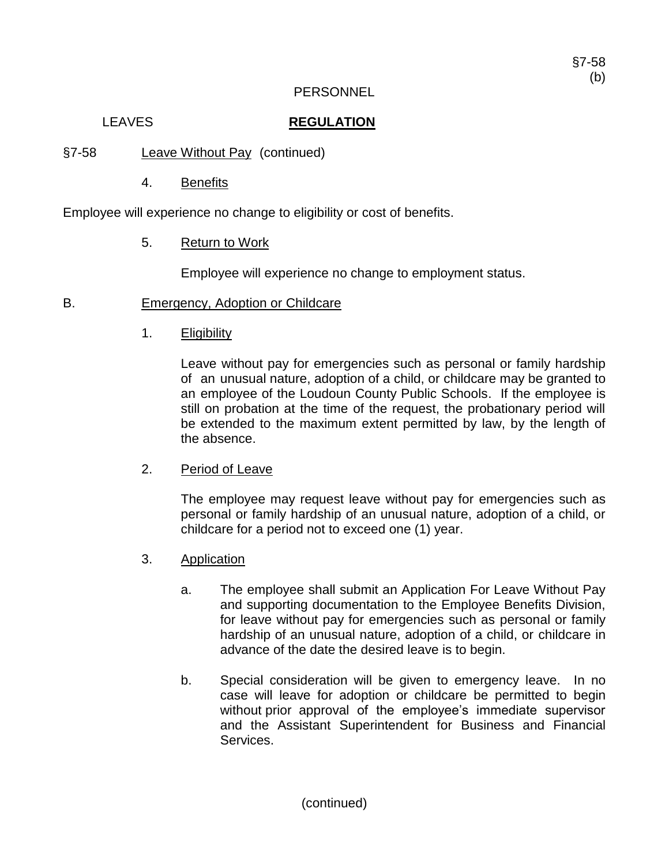## LEAVES **REGULATION**

- §7-58 Leave Without Pay (continued)
	- 4. Benefits

Employee will experience no change to eligibility or cost of benefits.

5. Return to Work

Employee will experience no change to employment status.

- B. Emergency, Adoption or Childcare
	- 1. Eligibility

Leave without pay for emergencies such as personal or family hardship of an unusual nature, adoption of a child, or childcare may be granted to an employee of the Loudoun County Public Schools. If the employee is still on probation at the time of the request, the probationary period will be extended to the maximum extent permitted by law, by the length of the absence.

2. Period of Leave

The employee may request leave without pay for emergencies such as personal or family hardship of an unusual nature, adoption of a child, or childcare for a period not to exceed one (1) year.

- 3. Application
	- a. The employee shall submit an Application For Leave Without Pay and supporting documentation to the Employee Benefits Division, for leave without pay for emergencies such as personal or family hardship of an unusual nature, adoption of a child, or childcare in advance of the date the desired leave is to begin.
	- b. Special consideration will be given to emergency leave. In no case will leave for adoption or childcare be permitted to begin without prior approval of the employee's immediate supervisor and the Assistant Superintendent for Business and Financial Services.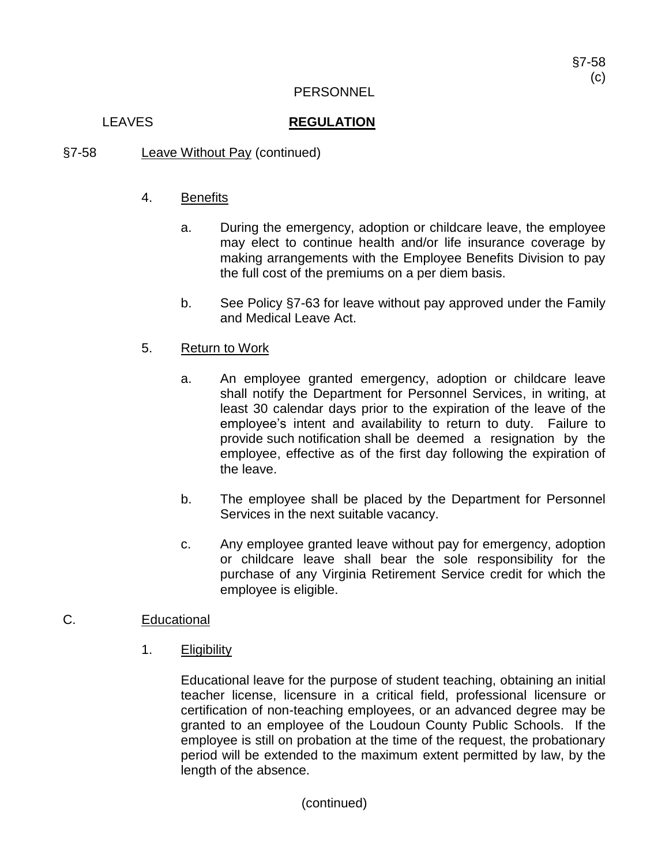## LEAVES **REGULATION**

§7-58 Leave Without Pay (continued)

# 4. Benefits

- a. During the emergency, adoption or childcare leave, the employee may elect to continue health and/or life insurance coverage by making arrangements with the Employee Benefits Division to pay the full cost of the premiums on a per diem basis.
- b. See Policy §7-63 for leave without pay approved under the Family and Medical Leave Act.

# 5. Return to Work

- a. An employee granted emergency, adoption or childcare leave shall notify the Department for Personnel Services, in writing, at least 30 calendar days prior to the expiration of the leave of the employee's intent and availability to return to duty. Failure to provide such notification shall be deemed a resignation by the employee, effective as of the first day following the expiration of the leave.
- b. The employee shall be placed by the Department for Personnel Services in the next suitable vacancy.
- c. Any employee granted leave without pay for emergency, adoption or childcare leave shall bear the sole responsibility for the purchase of any Virginia Retirement Service credit for which the employee is eligible.

# C. Educational

1. Eligibility

Educational leave for the purpose of student teaching, obtaining an initial teacher license, licensure in a critical field, professional licensure or certification of non-teaching employees, or an advanced degree may be granted to an employee of the Loudoun County Public Schools. If the employee is still on probation at the time of the request, the probationary period will be extended to the maximum extent permitted by law, by the length of the absence.

(continued)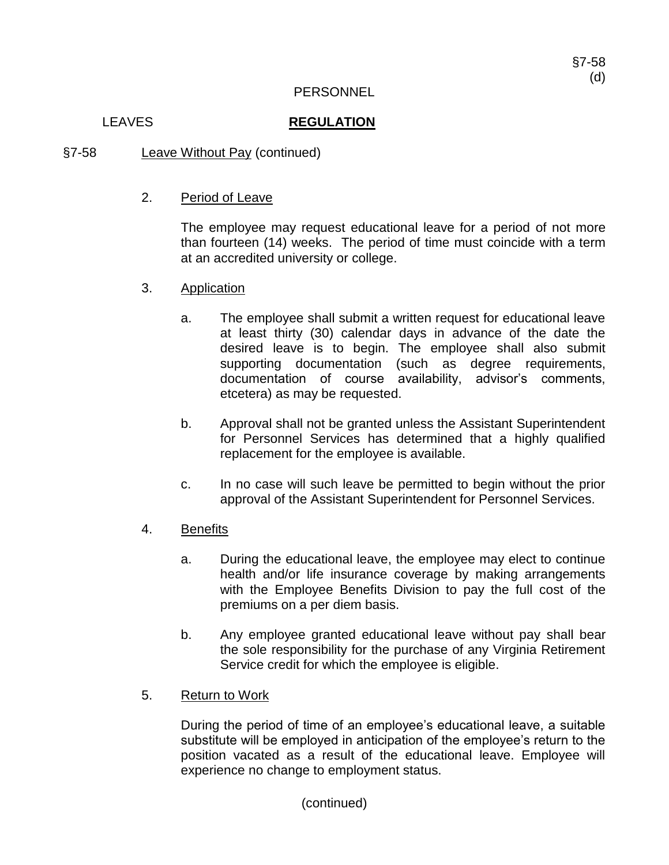### LEAVES **REGULATION**

§7-58 Leave Without Pay (continued)

# 2. Period of Leave

The employee may request educational leave for a period of not more than fourteen (14) weeks. The period of time must coincide with a term at an accredited university or college.

- 3. Application
	- a. The employee shall submit a written request for educational leave at least thirty (30) calendar days in advance of the date the desired leave is to begin. The employee shall also submit supporting documentation (such as degree requirements, documentation of course availability, advisor's comments, etcetera) as may be requested.
	- b. Approval shall not be granted unless the Assistant Superintendent for Personnel Services has determined that a highly qualified replacement for the employee is available.
	- c. In no case will such leave be permitted to begin without the prior approval of the Assistant Superintendent for Personnel Services.
- 4. Benefits
	- a. During the educational leave, the employee may elect to continue health and/or life insurance coverage by making arrangements with the Employee Benefits Division to pay the full cost of the premiums on a per diem basis.
	- b. Any employee granted educational leave without pay shall bear the sole responsibility for the purchase of any Virginia Retirement Service credit for which the employee is eligible.
- 5. Return to Work

During the period of time of an employee's educational leave, a suitable substitute will be employed in anticipation of the employee's return to the position vacated as a result of the educational leave. Employee will experience no change to employment status.

(continued)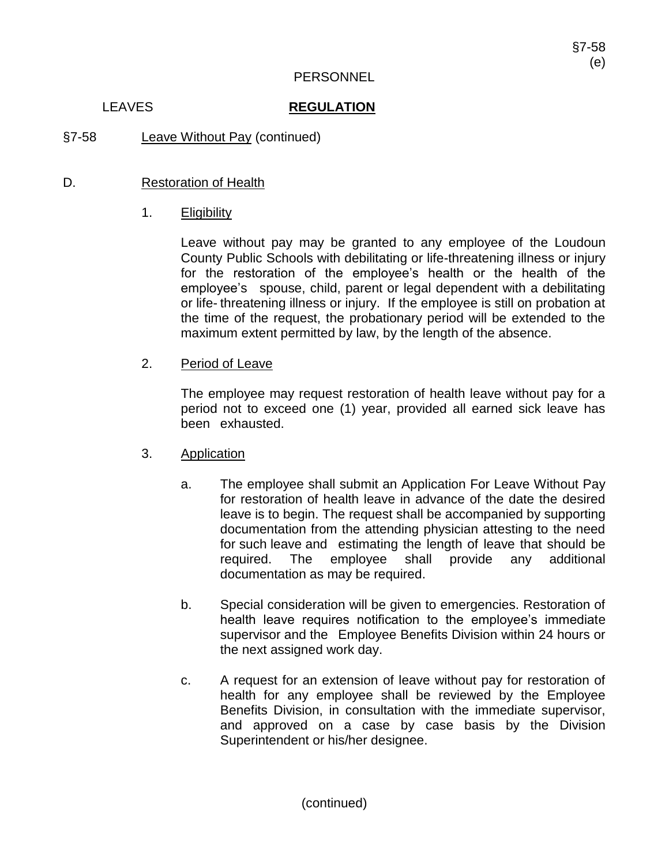## LEAVES **REGULATION**

§7-58 Leave Without Pay (continued)

# D. Restoration of Health

# 1. Eligibility

Leave without pay may be granted to any employee of the Loudoun County Public Schools with debilitating or life-threatening illness or injury for the restoration of the employee's health or the health of the employee's spouse, child, parent or legal dependent with a debilitating or life- threatening illness or injury. If the employee is still on probation at the time of the request, the probationary period will be extended to the maximum extent permitted by law, by the length of the absence.

# 2. Period of Leave

The employee may request restoration of health leave without pay for a period not to exceed one (1) year, provided all earned sick leave has been exhausted.

## 3. Application

- a. The employee shall submit an Application For Leave Without Pay for restoration of health leave in advance of the date the desired leave is to begin. The request shall be accompanied by supporting documentation from the attending physician attesting to the need for such leave and estimating the length of leave that should be required. The employee shall provide any additional documentation as may be required.
- b. Special consideration will be given to emergencies. Restoration of health leave requires notification to the employee's immediate supervisor and the Employee Benefits Division within 24 hours or the next assigned work day.
- c. A request for an extension of leave without pay for restoration of health for any employee shall be reviewed by the Employee Benefits Division, in consultation with the immediate supervisor, and approved on a case by case basis by the Division Superintendent or his/her designee.